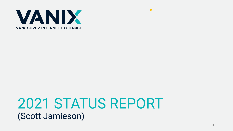

# 2021 STATUS REPORT (Scott Jamieson)

 $\blacktriangleleft$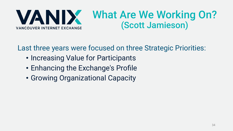

Last three years were focused on three Strategic Priorities:

- Increasing Value for Participants
- Enhancing the Exchange's Profile
- Growing Organizational Capacity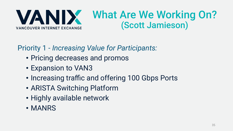

### Priority 1 - *Increasing Value for Participants:*

- Pricing decreases and promos
- Expansion to VAN3
- Increasing traffic and offering 100 Gbps Ports
- ARISTA Switching Platform
- Highly available network
- MANRS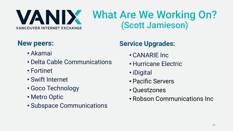

### **New peers:**

- Akamai
- Delta Cable Communications
- Fortinet
- Swift Internet
- Goco Technology
- Metro Optic
- Subspace Communications

#### **Service Upgrades:**

- CANARIE Inc
- Hurricane Electric
- iDigital
- Pacific Servers
- Questzones
- Robson Communications Inc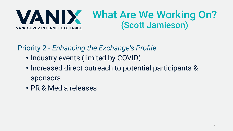

Priority 2 - *Enhancing the Exchange's Profile* 

- Industry events (limited by COVID)
- Increased direct outreach to potential participants & sponsors
- PR & Media releases